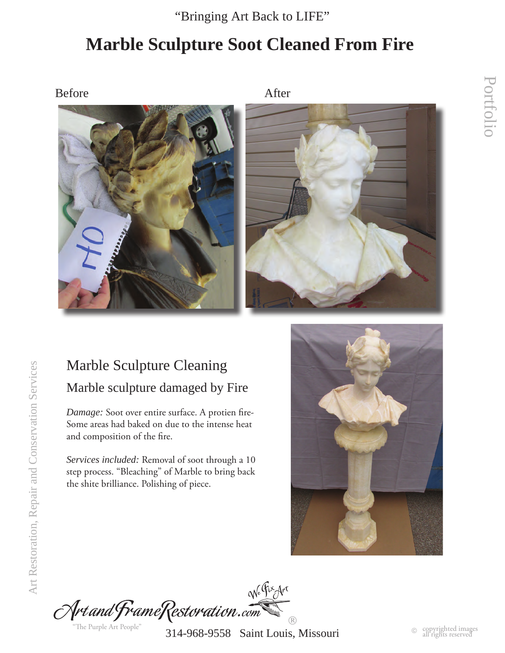"Bringing Art Back to LIFE"

# **Marble Sculpture Soot Cleaned From Fire**

Before After





### Marble Sculpture Cleaning Marble sculpture damaged by Fire

*Damage:* Soot over entire surface. A protien fire-Some areas had baked on due to the intense heat and composition of the fire.

*Services included:* Removal of soot through a 10 step process. "Bleaching" of Marble to bring back the shite brilliance. Polishing of piece.



No Fix Art Art and FrameRestoration.com  $\circledR$ "The Purple Art People"

314-968-9558 Saint Louis, Missouri

Portfolio

Portfolio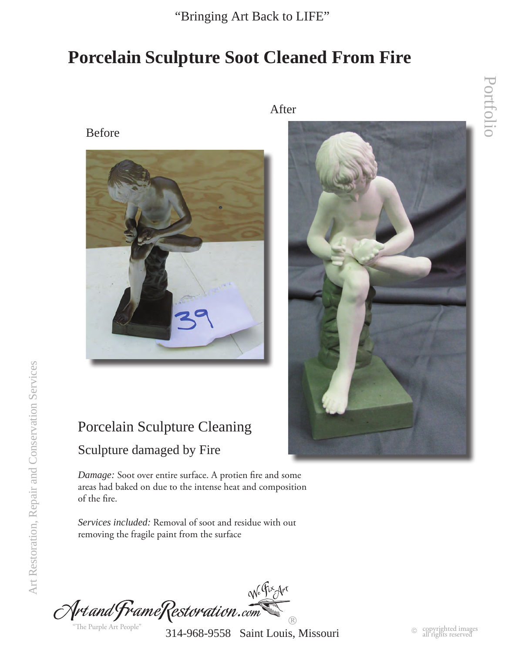"Bringing Art Back to LIFE"

### **Porcelain Sculpture Soot Cleaned From Fire**



Porcelain Sculpture Cleaning

#### Sculpture damaged by Fire

*Damage:* Soot over entire surface. A protien fire and some areas had baked on due to the intense heat and composition of the fire.

*Services included:* Removal of soot and residue with out removing the fragile paint from the surface

We Fix Art Art and FrameRestoration.com  $\circledR$ "The Purple Art People"

314-968-9558 Saint Louis, Missouri